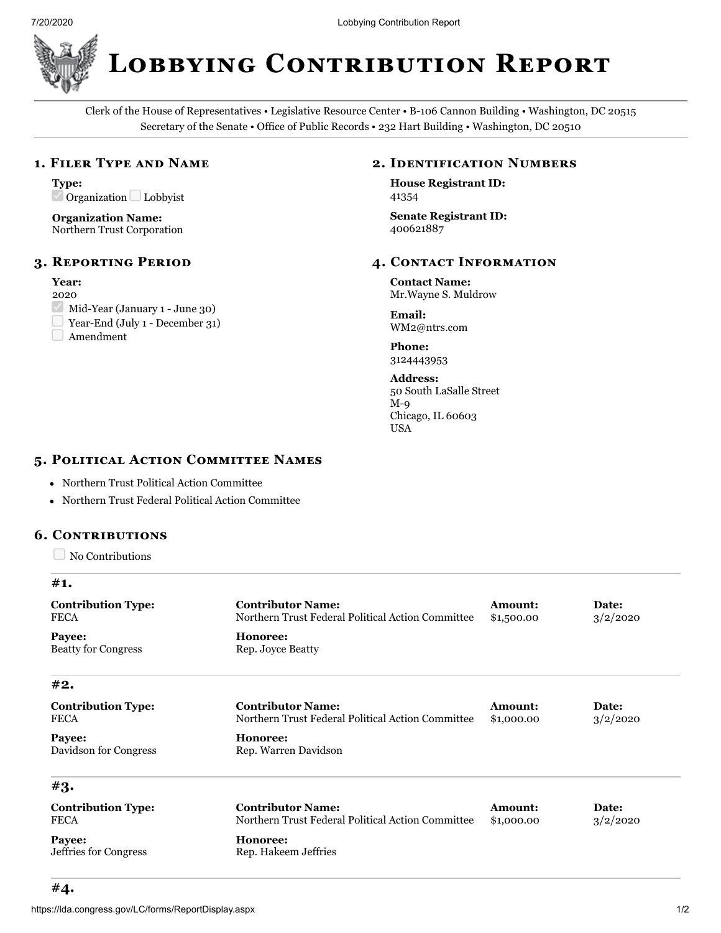

**LOBBYING CONTRIBUTION REPORT** 

Clerk of the House of Representatives • Legislative Resource Center • B-106 Cannon Building • Washington, DC 20515 Secretary of the Senate • Office of Public Records • 232 Hart Building • Washington, DC 20510

## 1. FILER TYPE AND NAME

**Type:**  $\triangle$  Organization Lobbyist

**Organization Name:** Northern Trust Corporation

### **3. REPORTING PERIOD**

## **Year:**

- 2020
- $\vee$  Mid-Year (January 1 June 30)
- Year-End (July 1 December 31)
- Amendment

## **2. IDENTIFICATION NUMBERS**

**House Registrant ID:** 41354

**Senate Registrant ID:** 400621887

## **4. CONTACT INFORMATION**

**Contact Name:** Mr.Wayne S. Muldrow

**Email:** WM2@ntrs.com

**Phone:** 3124443953

**Address:** 50 South LaSalle Street M-9 Chicago, IL 60603 USA

# 5. POLITICAL ACTION COMMITTEE NAMES

- Northern Trust Political Action Committee
- Northern Trust Federal Political Action Committee

#### **6. C**

No Contributions

**#1.**

| <b>Contribution Type:</b><br><b>FECA</b> | <b>Contributor Name:</b><br>Northern Trust Federal Political Action Committee | <b>Amount:</b><br>\$1,500.00 | Date:<br>3/2/2020 |
|------------------------------------------|-------------------------------------------------------------------------------|------------------------------|-------------------|
| Payee:<br><b>Beatty for Congress</b>     | Honoree:<br>Rep. Joyce Beatty                                                 |                              |                   |
| #2.                                      |                                                                               |                              |                   |
| <b>Contribution Type:</b><br><b>FECA</b> | <b>Contributor Name:</b><br>Northern Trust Federal Political Action Committee | <b>Amount:</b><br>\$1,000.00 | Date:<br>3/2/2020 |
| Payee:<br>Davidson for Congress          | Honoree:<br>Rep. Warren Davidson                                              |                              |                   |
| #3.                                      |                                                                               |                              |                   |
| <b>Contribution Type:</b><br><b>FECA</b> | <b>Contributor Name:</b><br>Northern Trust Federal Political Action Committee | <b>Amount:</b><br>\$1,000.00 | Date:<br>3/2/2020 |
| Payee:<br>Jeffries for Congress          | Honoree:<br>Rep. Hakeem Jeffries                                              |                              |                   |
|                                          |                                                                               |                              |                   |